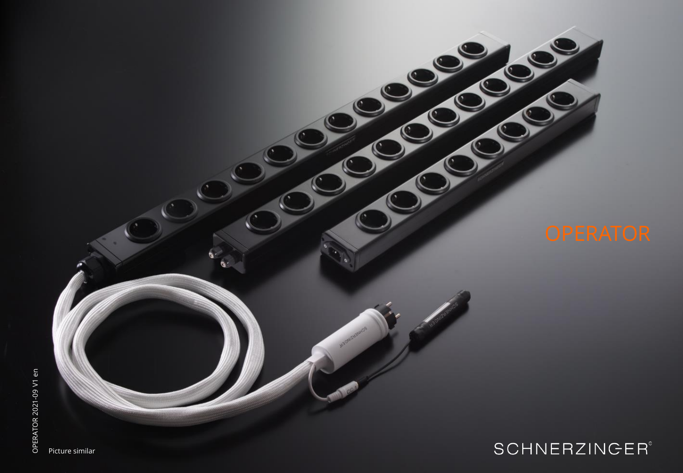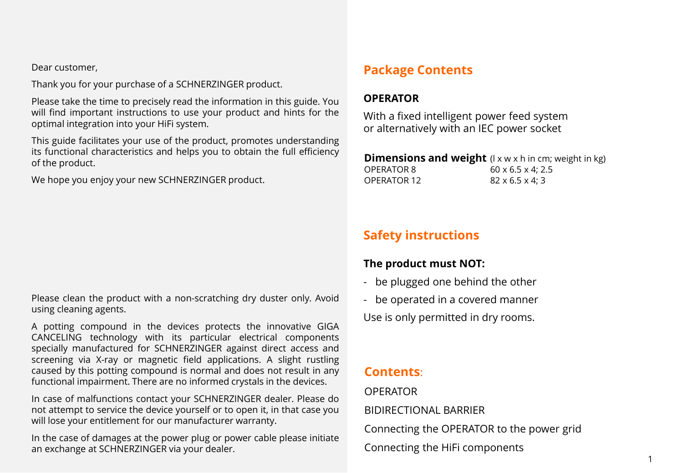Dear customer,

Thank you for your purchase of a SCHNERZINGER product.

Please take the time to precisely read the information in this guide. You will find important instructions to use your product and hints for the optimal integration into your HiFi system.

This guide facilitates your use of the product, promotes understanding its functional characteristics and helps you to obtain the full efficiency of the product.

We hope you enjoy your new SCHNERZINGER product.

Please clean the product with a non-scratching dry duster only. Avoid using cleaning agents.

A potting compound in the devices protects the innovative GIGA CANCELING technology with its particular electrical components specially manufactured for SCHNERZINGER against direct access and screening via X-ray or magnetic field applications. A slight rustling caused by this potting compound is normal and does not result in any functional impairment. There are no informed crystals in the devices.

In case of malfunctions contact your SCHNERZINGER dealer. Please do not attempt to service the device yourself or to open it, in that case you will lose your entitlement for our manufacturer warranty.

In the case of damages at the power plug or power cable please initiate an exchange at SCHNERZINGER via your dealer.

## **Package Contents**

#### **OPERATOR**

With a fixed intelligent power feed system or alternatively with an IEC power socket

#### **Dimensions and weight** (I x w x h in cm; weight in kg) OPERATOR 8 60 x 6.5 x 4; 2.5 OPERATOR 12 82 x 6.5 x 4; 3

# **Safety instructions**

### **The product must NOT:**

- be plugged one behind the other
- be operated in a covered manner

Use is only permitted in dry rooms.

### **Contents**:

#### OPERATOR

BIDIRECTIONAL BARRIER

Connecting the OPERATOR to the power grid

Connecting the HiFi components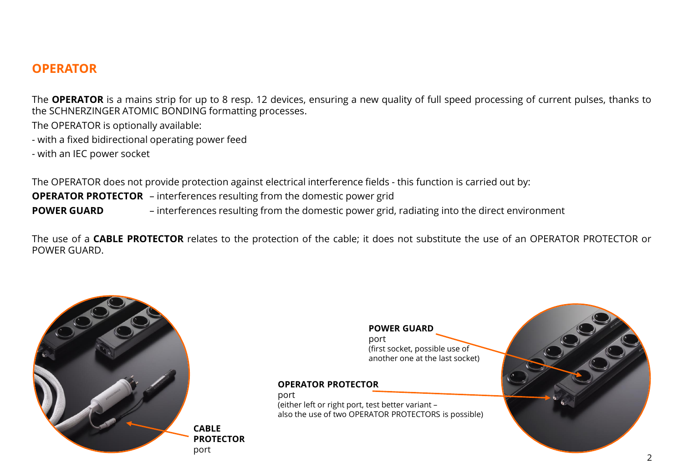### **OPERATOR**

The **OPERATOR** is a mains strip for up to 8 resp. 12 devices, ensuring a new quality of full speed processing of current pulses, thanks to the SCHNERZINGER ATOMIC BONDING formatting processes.

The OPERATOR is optionally available:

- with a fixed bidirectional operating power feed
- with an IEC power socket

The OPERATOR does not provide protection against electrical interference fields - this function is carried out by: **OPERATOR PROTECTOR** – interferences resulting from the domestic power grid **POWER GUARD** – interferences resulting from the domestic power grid, radiating into the direct environment

The use of a **CABLE PROTECTOR** relates to the protection of the cable; it does not substitute the use of an OPERATOR PROTECTOR or POWER GUARD.



**POWER GUARD** port (first socket, possible use of another one at the last socket)

#### **OPERATOR PROTECTOR**

port (either left or right port, test better variant – also the use of two OPERATOR PROTECTORS is possible)

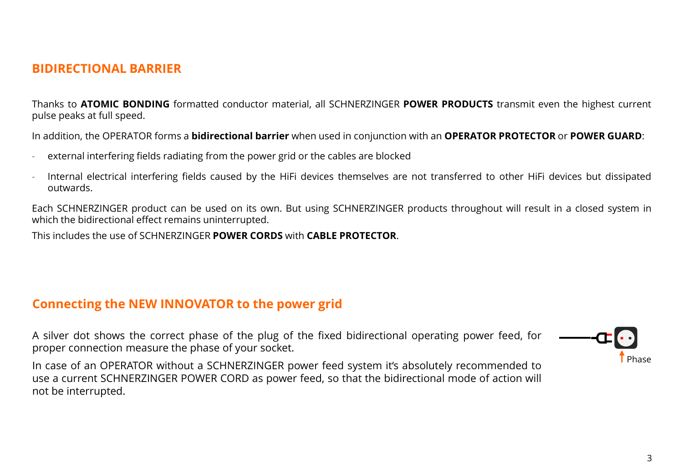### **BIDIRECTIONAL BARRIER**

Thanks to **ATOMIC BONDING** formatted conductor material, all SCHNERZINGER **POWER PRODUCTS** transmit even the highest current pulse peaks at full speed.

In addition, the OPERATOR forms a **bidirectional barrier** when used in conjunction with an **OPERATOR PROTECTOR** or **POWER GUARD**:

- external interfering fields radiating from the power grid or the cables are blocked
- Internal electrical interfering fields caused by the HiFi devices themselves are not transferred to other HiFi devices but dissipated outwards.

Each SCHNERZINGER product can be used on its own. But using SCHNERZINGER products throughout will result in a closed system in which the bidirectional effect remains uninterrupted.

This includes the use of SCHNERZINGER **POWER CORDS** with **CABLE PROTECTOR**.

#### **Connecting the NEW INNOVATOR to the power grid**

A silver dot shows the correct phase of the plug of the fixed bidirectional operating power feed, for proper connection measure the phase of your socket.

In case of an OPERATOR without a SCHNERZINGER power feed system it's absolutely recommended to use a current SCHNERZINGER POWER CORD as power feed, so that the bidirectional mode of action will not be interrupted.